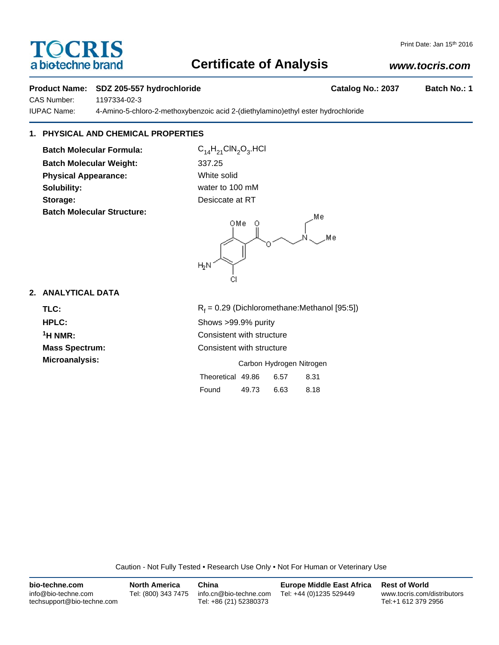# TOCRIS a biotechne brand

## **Certificate of Analysis**

## *www.tocris.com*

## **Product Name: SDZ 205-557 hydrochloride Catalog No.: 2037 Batch No.: 1**

CAS Number: 1197334-02-3

IUPAC Name: 4-Amino-5-chloro-2-methoxybenzoic acid 2-(diethylamino)ethyl ester hydrochloride

## **1. PHYSICAL AND CHEMICAL PROPERTIES**

**Batch Molecular Formula:** C<sub>14</sub>H<sub>21</sub>ClN<sub>2</sub>O<sub>3</sub>.HCl **Batch Molecular Weight:** 337.25 **Physical Appearance:** White solid **Solubility:** water to 100 mM Storage: **Desicate at RT Batch Molecular Structure:**



Found 49.73 6.63 8.18

## **2. ANALYTICAL DATA**

TLC: R<sub>f</sub>  $R_f = 0.29$  (Dichloromethane:Methanol [95:5]) **HPLC:** Shows >99.9% purity **1H NMR:** Consistent with structure **Mass Spectrum:** Consistent with structure **Microanalysis:** Microanalysis: **Carbon Hydrogen Nitrogen** Theoretical 49.86 6.57 8.31

Caution - Not Fully Tested • Research Use Only • Not For Human or Veterinary Use

| bio-techne.com                                    | <b>North America</b> | China                                            | <b>Europe Middle East Africa</b> | <b>Rest of World</b>                               |
|---------------------------------------------------|----------------------|--------------------------------------------------|----------------------------------|----------------------------------------------------|
| info@bio-techne.com<br>techsupport@bio-techne.com | Tel: (800) 343 7475  | info.cn@bio-techne.com<br>Tel: +86 (21) 52380373 | Tel: +44 (0)1235 529449          | www.tocris.com/distributors<br>Tel:+1 612 379 2956 |